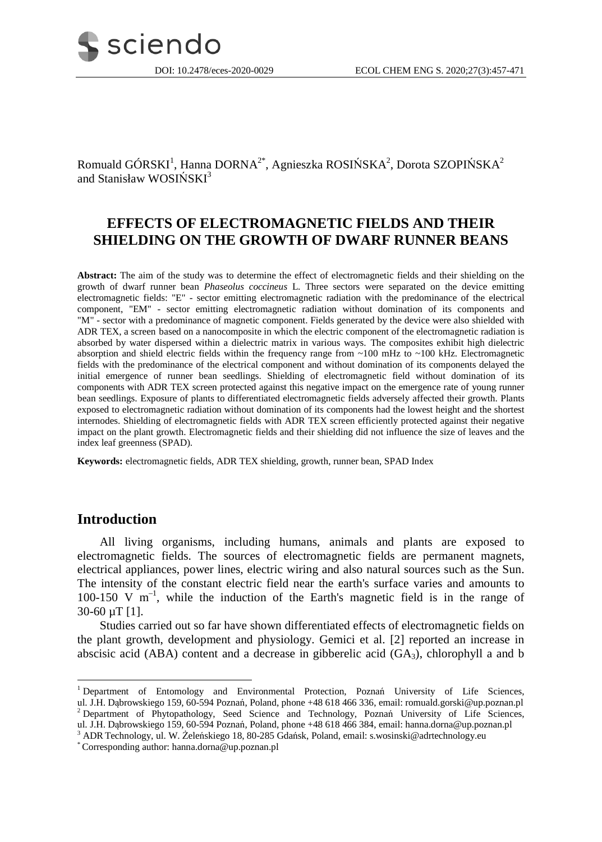

Romuald GÓRSKI $^1$ , Hanna DORNA $^{2^\ast}$ , Agnieszka ROSIŃSKA $^2$ , Dorota SZOPIŃSKA $^2$ and Stanisław WOSIŃSKI<sup>3</sup>

# **EFFECTS OF ELECTROMAGNETIC FIELDS AND THEIR SHIELDING ON THE GROWTH OF DWARF RUNNER BEANS**

**Abstract:** The aim of the study was to determine the effect of electromagnetic fields and their shielding on the growth of dwarf runner bean *Phaseolus coccineus* L. Three sectors were separated on the device emitting electromagnetic fields: "E" - sector emitting electromagnetic radiation with the predominance of the electrical component, "EM" - sector emitting electromagnetic radiation without domination of its components and "M" - sector with a predominance of magnetic component. Fields generated by the device were also shielded with ADR TEX, a screen based on a nanocomposite in which the electric component of the electromagnetic radiation is absorbed by water dispersed within a dielectric matrix in various ways. The composites exhibit high dielectric absorption and shield electric fields within the frequency range from ~100 mHz to ~100 kHz. Electromagnetic fields with the predominance of the electrical component and without domination of its components delayed the initial emergence of runner bean seedlings. Shielding of electromagnetic field without domination of its components with ADR TEX screen protected against this negative impact on the emergence rate of young runner bean seedlings. Exposure of plants to differentiated electromagnetic fields adversely affected their growth. Plants exposed to electromagnetic radiation without domination of its components had the lowest height and the shortest internodes. Shielding of electromagnetic fields with ADR TEX screen efficiently protected against their negative impact on the plant growth. Electromagnetic fields and their shielding did not influence the size of leaves and the index leaf greenness (SPAD).

**Keywords:** electromagnetic fields, ADR TEX shielding, growth, runner bean, SPAD Index

## **Introduction**

 $\overline{a}$ 

All living organisms, including humans, animals and plants are exposed to electromagnetic fields. The sources of electromagnetic fields are permanent magnets, electrical appliances, power lines, electric wiring and also natural sources such as the Sun. The intensity of the constant electric field near the earth's surface varies and amounts to 100-150 V  $m^{-1}$ , while the induction of the Earth's magnetic field is in the range of 30-60 µT [1].

Studies carried out so far have shown differentiated effects of electromagnetic fields on the plant growth, development and physiology. Gemici et al. [2] reported an increase in abscisic acid (ABA) content and a decrease in gibberelic acid  $(GA_3)$ , chlorophyll a and b

<sup>&</sup>lt;sup>1</sup> Department of Entomology and Environmental Protection, Poznań University of Life Sciences, ul. J.H. Dąbrowskiego 159, 60-594 Poznań, Poland, phone +48 618 466 336, email: romuald.gorski@up.poznan.pl <sup>2</sup> Department of Phytopathology, Seed Science and Technology, Poznań University of Life Sciences, ul. J.H. Dąbrowskiego 159, 60-594 Poznań, Poland, phone +48 618 466 384, email: hanna.dorna@up.poznan.pl

<sup>3</sup> ADR Technology, ul. W. Żeleńskiego 18, 80-285 Gdańsk, Poland, email: s.wosinski@adrtechnology.eu

<sup>\*</sup> Corresponding author: hanna.dorna@up.poznan.pl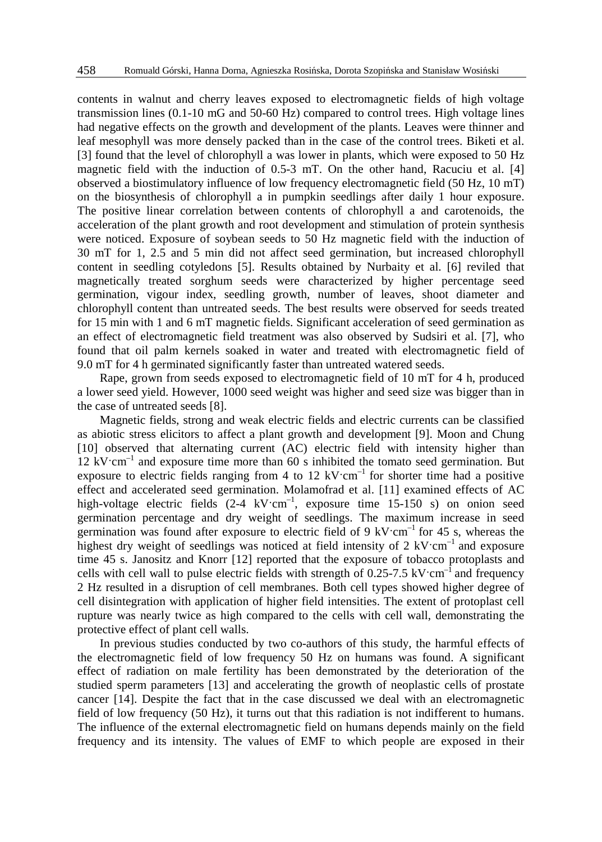contents in walnut and cherry leaves exposed to electromagnetic fields of high voltage transmission lines (0.1-10 mG and 50-60 Hz) compared to control trees. High voltage lines had negative effects on the growth and development of the plants. Leaves were thinner and leaf mesophyll was more densely packed than in the case of the control trees. Biketi et al. [3] found that the level of chlorophyll a was lower in plants, which were exposed to 50 Hz magnetic field with the induction of 0.5-3 mT. On the other hand, Racuciu et al. [4] observed a biostimulatory influence of low frequency electromagnetic field (50 Hz, 10 mT) on the biosynthesis of chlorophyll a in pumpkin seedlings after daily 1 hour exposure. The positive linear correlation between contents of chlorophyll a and carotenoids, the acceleration of the plant growth and root development and stimulation of protein synthesis were noticed. Exposure of soybean seeds to 50 Hz magnetic field with the induction of 30 mT for 1, 2.5 and 5 min did not affect seed germination, but increased chlorophyll content in seedling cotyledons [5]. Results obtained by Nurbaity et al. [6] reviled that magnetically treated sorghum seeds were characterized by higher percentage seed germination, vigour index, seedling growth, number of leaves, shoot diameter and chlorophyll content than untreated seeds. The best results were observed for seeds treated for 15 min with 1 and 6 mT magnetic fields. Significant acceleration of seed germination as an effect of electromagnetic field treatment was also observed by Sudsiri et al. [7], who found that oil palm kernels soaked in water and treated with electromagnetic field of 9.0 mT for 4 h germinated significantly faster than untreated watered seeds.

Rape, grown from seeds exposed to electromagnetic field of 10 mT for 4 h, produced a lower seed yield. However, 1000 seed weight was higher and seed size was bigger than in the case of untreated seeds [8].

Magnetic fields, strong and weak electric fields and electric currents can be classified as abiotic stress elicitors to affect a plant growth and development [9]. Moon and Chung [10] observed that alternating current (AC) electric field with intensity higher than  $12 \text{ kV/cm}^{-1}$  and exposure time more than 60 s inhibited the tomato seed germination. But exposure to electric fields ranging from 4 to 12  $kV/cm^{-1}$  for shorter time had a positive effect and accelerated seed germination. Molamofrad et al. [11] examined effects of AC high-voltage electric fields (2-4 kV·cm<sup>-1</sup>, exposure time 15-150 s) on onion seed germination percentage and dry weight of seedlings. The maximum increase in seed germination was found after exposure to electric field of 9 kV $\cdot$ cm<sup>-1</sup> for 45 s, whereas the highest dry weight of seedlings was noticed at field intensity of  $2 \text{ kV/cm}^{-1}$  and exposure time 45 s. Janositz and Knorr [12] reported that the exposure of tobacco protoplasts and cells with cell wall to pulse electric fields with strength of  $0.25$ -7.5 kV·cm<sup>-1</sup> and frequency 2 Hz resulted in a disruption of cell membranes. Both cell types showed higher degree of cell disintegration with application of higher field intensities. The extent of protoplast cell rupture was nearly twice as high compared to the cells with cell wall, demonstrating the protective effect of plant cell walls.

In previous studies conducted by two co-authors of this study, the harmful effects of the electromagnetic field of low frequency 50 Hz on humans was found. A significant effect of radiation on male fertility has been demonstrated by the deterioration of the studied sperm parameters [13] and accelerating the growth of neoplastic cells of prostate cancer [14]. Despite the fact that in the case discussed we deal with an electromagnetic field of low frequency (50 Hz), it turns out that this radiation is not indifferent to humans. The influence of the external electromagnetic field on humans depends mainly on the field frequency and its intensity. The values of EMF to which people are exposed in their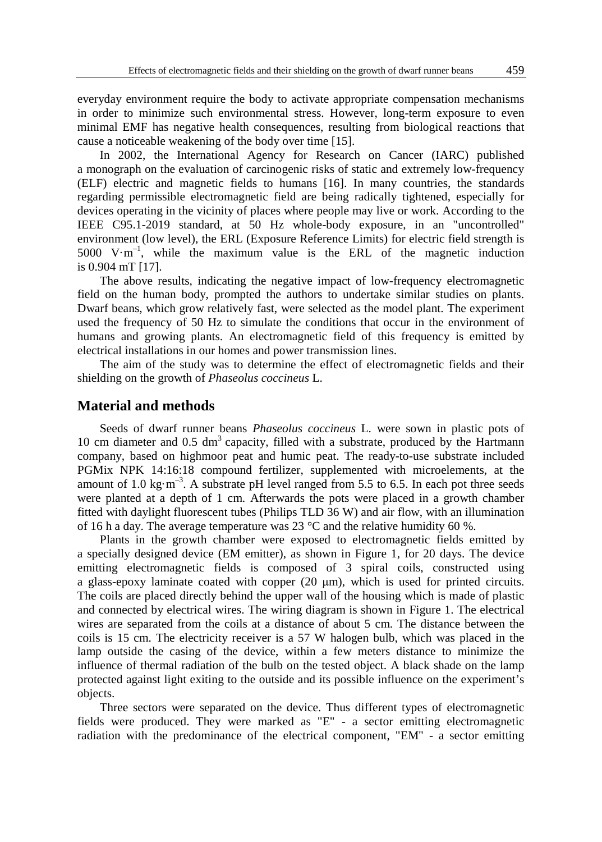everyday environment require the body to activate appropriate compensation mechanisms in order to minimize such environmental stress. However, long-term exposure to even minimal EMF has negative health consequences, resulting from biological reactions that cause a noticeable weakening of the body over time [15].

In 2002, the International Agency for Research on Cancer (IARC) published a monograph on the evaluation of carcinogenic risks of static and extremely low-frequency (ELF) electric and magnetic fields to humans [16]. In many countries, the standards regarding permissible electromagnetic field are being radically tightened, especially for devices operating in the vicinity of places where people may live or work. According to the IEEE C95.1-2019 standard, at 50 Hz whole-body exposure, in an "uncontrolled" environment (low level), the ERL (Exposure Reference Limits) for electric field strength is 5000  $V \cdot m^{-1}$ , while the maximum value is the ERL of the magnetic induction is 0.904 mT [17].

The above results, indicating the negative impact of low-frequency electromagnetic field on the human body, prompted the authors to undertake similar studies on plants. Dwarf beans, which grow relatively fast, were selected as the model plant. The experiment used the frequency of 50 Hz to simulate the conditions that occur in the environment of humans and growing plants. An electromagnetic field of this frequency is emitted by electrical installations in our homes and power transmission lines.

The aim of the study was to determine the effect of electromagnetic fields and their shielding on the growth of *Phaseolus coccineus* L.

#### **Material and methods**

Seeds of dwarf runner beans *Phaseolus coccineus* L. were sown in plastic pots of 10 cm diameter and  $0.5 \text{ dm}^3$  capacity, filled with a substrate, produced by the Hartmann company, based on highmoor peat and humic peat. The ready-to-use substrate included PGMix NPK 14:16:18 compound fertilizer, supplemented with microelements, at the amount of 1.0 kg·m<sup>-3</sup>. A substrate pH level ranged from 5.5 to 6.5. In each pot three seeds were planted at a depth of 1 cm. Afterwards the pots were placed in a growth chamber fitted with daylight fluorescent tubes (Philips TLD 36 W) and air flow, with an illumination of 16 h a day. The average temperature was 23  $^{\circ}$ C and the relative humidity 60 %.

Plants in the growth chamber were exposed to electromagnetic fields emitted by a specially designed device (EM emitter), as shown in Figure 1, for 20 days. The device emitting electromagnetic fields is composed of 3 spiral coils, constructed using a glass-epoxy laminate coated with copper (20 μm), which is used for printed circuits. The coils are placed directly behind the upper wall of the housing which is made of plastic and connected by electrical wires. The wiring diagram is shown in Figure 1. The electrical wires are separated from the coils at a distance of about 5 cm. The distance between the coils is 15 cm. The electricity receiver is a 57 W halogen bulb, which was placed in the lamp outside the casing of the device, within a few meters distance to minimize the influence of thermal radiation of the bulb on the tested object. A black shade on the lamp protected against light exiting to the outside and its possible influence on the experiment's objects.

Three sectors were separated on the device. Thus different types of electromagnetic fields were produced. They were marked as "E" - a sector emitting electromagnetic radiation with the predominance of the electrical component, "EM" - a sector emitting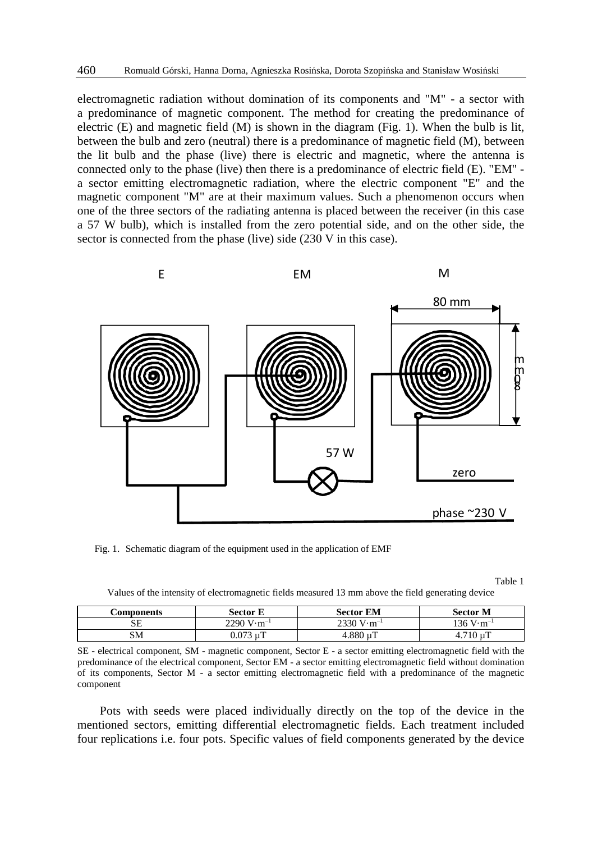electromagnetic radiation without domination of its components and "M" - a sector with a predominance of magnetic component. The method for creating the predominance of electric  $(E)$  and magnetic field  $(M)$  is shown in the diagram (Fig. 1). When the bulb is lit, between the bulb and zero (neutral) there is a predominance of magnetic field (M), between the lit bulb and the phase (live) there is electric and magnetic, where the antenna is connected only to the phase (live) then there is a predominance of electric field (E). "EM" a sector emitting electromagnetic radiation, where the electric component "E" and the magnetic component "M" are at their maximum values. Such a phenomenon occurs when one of the three sectors of the radiating antenna is placed between the receiver (in this case a 57 W bulb), which is installed from the zero potential side, and on the other side, the sector is connected from the phase (live) side (230 V in this case).



Fig. 1. Schematic diagram of the equipment used in the application of EMF

Table 1

Values of the intensity of electromagnetic fields measured 13 mm above the field generating device

| <b>Components</b> | Sector E                             | <b>Sector EM</b>                     | Sector M                            |
|-------------------|--------------------------------------|--------------------------------------|-------------------------------------|
| SЕ                | $2290 \text{ V} \cdot \text{m}^{-1}$ | $2330 \text{ V} \cdot \text{m}^{-1}$ | $136 \text{ V} \cdot \text{m}^{-1}$ |
| SM                | 0.073 uT                             | $4.880 \mu T$                        | .710 uT                             |

SE - electrical component, SM - magnetic component, Sector E - a sector emitting electromagnetic field with the predominance of the electrical component, Sector EM - a sector emitting electromagnetic field without domination of its components, Sector M - a sector emitting electromagnetic field with a predominance of the magnetic component

Pots with seeds were placed individually directly on the top of the device in the mentioned sectors, emitting differential electromagnetic fields. Each treatment included four replications i.e. four pots. Specific values of field components generated by the device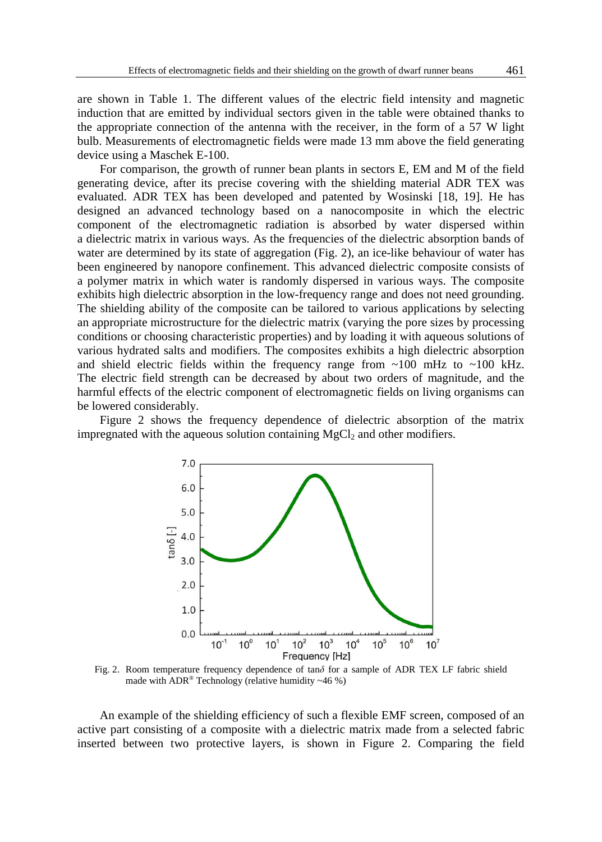are shown in Table 1. The different values of the electric field intensity and magnetic induction that are emitted by individual sectors given in the table were obtained thanks to the appropriate connection of the antenna with the receiver, in the form of a 57 W light bulb. Measurements of electromagnetic fields were made 13 mm above the field generating device using a Maschek E-100.

For comparison, the growth of runner bean plants in sectors E, EM and M of the field generating device, after its precise covering with the shielding material ADR TEX was evaluated. ADR TEX has been developed and patented by Wosinski [18, 19]. He has designed an advanced technology based on a nanocomposite in which the electric component of the electromagnetic radiation is absorbed by water dispersed within a dielectric matrix in various ways. As the frequencies of the dielectric absorption bands of water are determined by its state of aggregation (Fig. 2), an ice-like behaviour of water has been engineered by nanopore confinement. This advanced dielectric composite consists of a polymer matrix in which water is randomly dispersed in various ways. The composite exhibits high dielectric absorption in the low-frequency range and does not need grounding. The shielding ability of the composite can be tailored to various applications by selecting an appropriate microstructure for the dielectric matrix (varying the pore sizes by processing conditions or choosing characteristic properties) and by loading it with aqueous solutions of various hydrated salts and modifiers. The composites exhibits a high dielectric absorption and shield electric fields within the frequency range from  $\sim$ 100 mHz to  $\sim$ 100 kHz. The electric field strength can be decreased by about two orders of magnitude, and the harmful effects of the electric component of electromagnetic fields on living organisms can be lowered considerably.

Figure 2 shows the frequency dependence of dielectric absorption of the matrix impregnated with the aqueous solution containing  $MgCl<sub>2</sub>$  and other modifiers.



Fig. 2. Room temperature frequency dependence of tan*δ* for a sample of ADR TEX LF fabric shield made with  $ADR^*$  Technology (relative humidity ~46 %)

An example of the shielding efficiency of such a flexible EMF screen, composed of an active part consisting of a composite with a dielectric matrix made from a selected fabric inserted between two protective layers, is shown in Figure 2. Comparing the field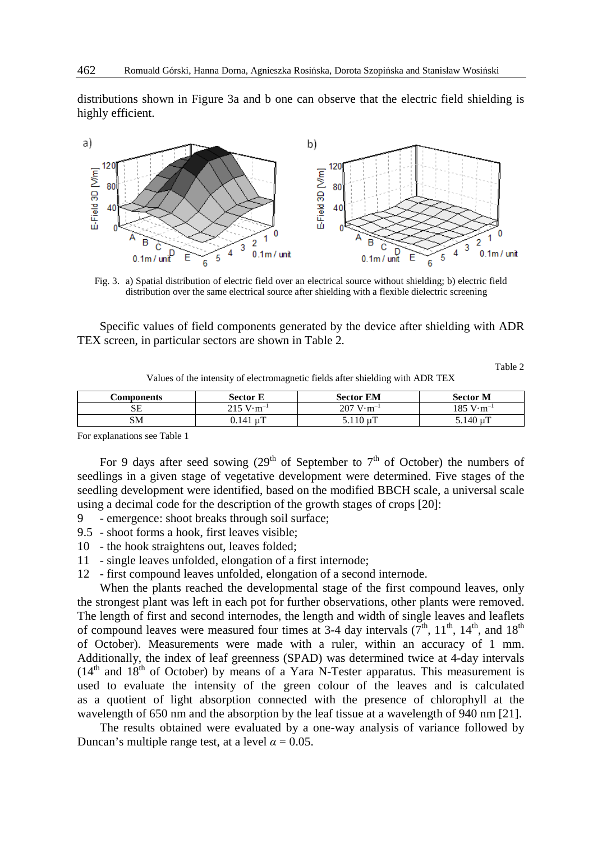distributions shown in Figure 3a and b one can observe that the electric field shielding is highly efficient.



Fig. 3. a) Spatial distribution of electric field over an electrical source without shielding; b) electric field distribution over the same electrical source after shielding with a flexible dielectric screening

Specific values of field components generated by the device after shielding with ADR TEX screen, in particular sectors are shown in Table 2.

Table 2

Values of the intensity of electromagnetic fields after shielding with ADR TEX

| Components | <b>Sector E</b>                     | <b>Sector EM</b>                    | <b>Sector M</b>                          |
|------------|-------------------------------------|-------------------------------------|------------------------------------------|
| SЕ         | $215 \text{ V} \cdot \text{m}^{-1}$ | $207 \text{ V} \cdot \text{m}^{-1}$ | $185~\mathrm{V}\!\cdot\!\mathrm{m}^{-1}$ |
| SΜ         | $0.141 \text{ uT}$                  | $5.110 \,\mu T$                     | $5.140 \text{ uT}$                       |

For explanations see Table 1

For 9 days after seed sowing  $(29<sup>th</sup>$  of September to  $7<sup>th</sup>$  of October) the numbers of seedlings in a given stage of vegetative development were determined. Five stages of the seedling development were identified, based on the modified BBCH scale, a universal scale using a decimal code for the description of the growth stages of crops [20]:

- 9 emergence: shoot breaks through soil surface;
- 9.5 shoot forms a hook, first leaves visible;
- 10 the hook straightens out, leaves folded;
- 11 single leaves unfolded, elongation of a first internode;
- 12 first compound leaves unfolded, elongation of a second internode.

When the plants reached the developmental stage of the first compound leaves, only the strongest plant was left in each pot for further observations, other plants were removed. The length of first and second internodes, the length and width of single leaves and leaflets of compound leaves were measured four times at 3-4 day intervals  $(7<sup>th</sup>, 11<sup>th</sup>, 14<sup>th</sup>,$  and  $18<sup>th</sup>$ of October). Measurements were made with a ruler, within an accuracy of 1 mm. Additionally, the index of leaf greenness (SPAD) was determined twice at 4-day intervals  $(14<sup>th</sup>$  and  $18<sup>th</sup>$  of October) by means of a Yara N-Tester apparatus. This measurement is used to evaluate the intensity of the green colour of the leaves and is calculated as a quotient of light absorption connected with the presence of chlorophyll at the wavelength of 650 nm and the absorption by the leaf tissue at a wavelength of 940 nm [21].

The results obtained were evaluated by a one-way analysis of variance followed by Duncan's multiple range test, at a level  $\alpha = 0.05$ .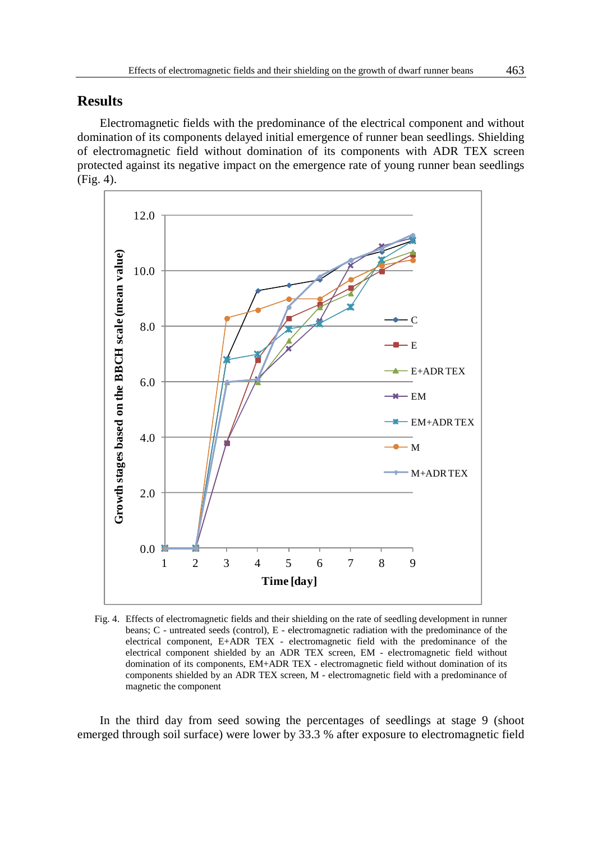### **Results**

Electromagnetic fields with the predominance of the electrical component and without domination of its components delayed initial emergence of runner bean seedlings. Shielding of electromagnetic field without domination of its components with ADR TEX screen protected against its negative impact on the emergence rate of young runner bean seedlings (Fig. 4).



Fig. 4. Effects of electromagnetic fields and their shielding on the rate of seedling development in runner beans; C - untreated seeds (control), E - electromagnetic radiation with the predominance of the electrical component, E+ADR TEX - electromagnetic field with the predominance of the electrical component shielded by an ADR TEX screen, EM - electromagnetic field without domination of its components, EM+ADR TEX - electromagnetic field without domination of its components shielded by an ADR TEX screen, M - electromagnetic field with a predominance of magnetic the component

In the third day from seed sowing the percentages of seedlings at stage 9 (shoot emerged through soil surface) were lower by 33.3 % after exposure to electromagnetic field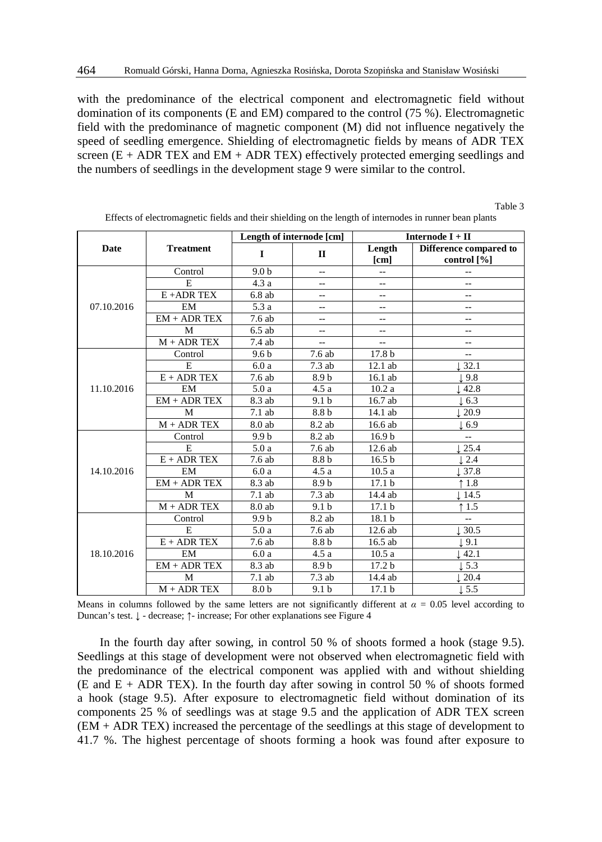with the predominance of the electrical component and electromagnetic field without domination of its components (E and EM) compared to the control (75 %). Electromagnetic field with the predominance of magnetic component (M) did not influence negatively the speed of seedling emergence. Shielding of electromagnetic fields by means of ADR TEX screen  $(E + ADR TEX)$  and  $EM + ADR TEX$  effectively protected emerging seedlings and the numbers of seedlings in the development stage 9 were similar to the control.

| Date       | <b>Treatment</b> | Length of internode [cm] |                  | Internode $I + II$       |                        |
|------------|------------------|--------------------------|------------------|--------------------------|------------------------|
|            |                  | I                        | $\Pi$            | Length                   | Difference compared to |
|            |                  |                          |                  | [cm]                     | control [%]            |
| 07.10.2016 | Control          | 9.0 <sub>b</sub>         | $\overline{a}$   | $\overline{\phantom{a}}$ | --                     |
|            | E.               | 4.3a                     | $\overline{a}$   | Ξ.                       | $-$                    |
|            | $E$ + ADR TEX    | 6.8ab                    | $\overline{a}$   | --                       | $-$                    |
|            | EM               | 5.3 a                    | $\overline{a}$   | --                       | $-$                    |
|            | $EM + ADR$ TEX   | 7.6ab                    | $\overline{a}$   | $-$                      | $-$                    |
|            | M                | $6.5$ ab                 | $\overline{a}$   | $-$                      | $-$                    |
|            | $M + ADR$ TEX    | 7.4 ab                   | $\overline{a}$   | $\overline{a}$           | $-$                    |
|            | Control          | 9.6 <sub>b</sub>         | 7.6 ab           | 17.8 b                   | $-$                    |
|            | E                | 6.0a                     | 7.3ab            | 12.1 ab                  | 32.1                   |
| 11.10.2016 | $E + ADR$ TEX    | 7.6 ab                   | 8.9b             | 16.1 ab                  | l 9.8                  |
|            | EM               | 5.0a                     | 4.5a             | 10.2a                    | 42.8                   |
|            | $EM + ADR$ TEX   | 8.3 ab                   | 9.1 <sub>b</sub> | 16.7 ab                  | $\pm 6.3$              |
|            | M                | $7.1$ ab                 | 8.8 b            | $\overline{14.1}$ ab     | 20.9                   |
|            | $M + ADR$ TEX    | 8.0 ab                   | 8.2 ab           | 16.6 ab                  | $\perp 6.9$            |
|            | Control          | 9.9 <sub>b</sub>         | 8.2 ab           | 16.9 <sub>b</sub>        | $-$                    |
|            | E                | 5.0a                     | 7.6 ab           | 12.6 ab                  | 25.4                   |
| 14.10.2016 | $E + ADR$ TEX    | 7.6ab                    | 8.8 b            | 16.5 <sub>b</sub>        | 2.4                    |
|            | EM               | 6.0a                     | 4.5a             | 10.5a                    | 137.8                  |
|            | $EM + ADR$ TEX   | 8.3 ab                   | 8.9b             | 17.1 <sub>b</sub>        | 1.8                    |
|            | M                | 7.1ab                    | 7.3ab            | 14.4 ab                  | 1.14.5                 |
|            | $M + ADR$ TEX    | 8.0 ab                   | 9.1 <sub>b</sub> | 17.1 <sub>b</sub>        | 1.5                    |
| 18.10.2016 | Control          | 9.9 <sub>b</sub>         | 8.2 ab           | 18.1 b                   | $\overline{a}$         |
|            | E                | 5.0a                     | 7.6 ab           | 12.6 ab                  | 1.30.5                 |
|            | $E + ADR$ TEX    | 7.6 ab                   | 8.8 b            | 16.5 ab                  | $\perp$ 9.1            |
|            | EM               | 6.0a                     | 4.5a             | 10.5a                    | 42.1                   |
|            | $EM + ADR$ TEX   | 8.3 ab                   | 8.9b             | 17.2 <sub>b</sub>        | 1.5.3                  |
|            | M                | 7.1 ab                   | 7.3ab            | 14.4 ab                  | 20.4                   |
|            | $M + ADR$ TEX    | 8.0 <sub>b</sub>         | 9.1 <sub>b</sub> | 17.1 <sub>b</sub>        | 1.5.5                  |

Effects of electromagnetic fields and their shielding on the length of internodes in runner bean plants

Table 3

Means in columns followed by the same letters are not significantly different at  $\alpha = 0.05$  level according to Duncan's test. ↓ - decrease; ↑- increase; For other explanations see Figure 4

In the fourth day after sowing, in control 50 % of shoots formed a hook (stage 9.5). Seedlings at this stage of development were not observed when electromagnetic field with the predominance of the electrical component was applied with and without shielding (E and  $E$  + ADR TEX). In the fourth day after sowing in control 50 % of shoots formed a hook (stage 9.5). After exposure to electromagnetic field without domination of its components 25 % of seedlings was at stage 9.5 and the application of ADR TEX screen (EM + ADR TEX) increased the percentage of the seedlings at this stage of development to 41.7 %. The highest percentage of shoots forming a hook was found after exposure to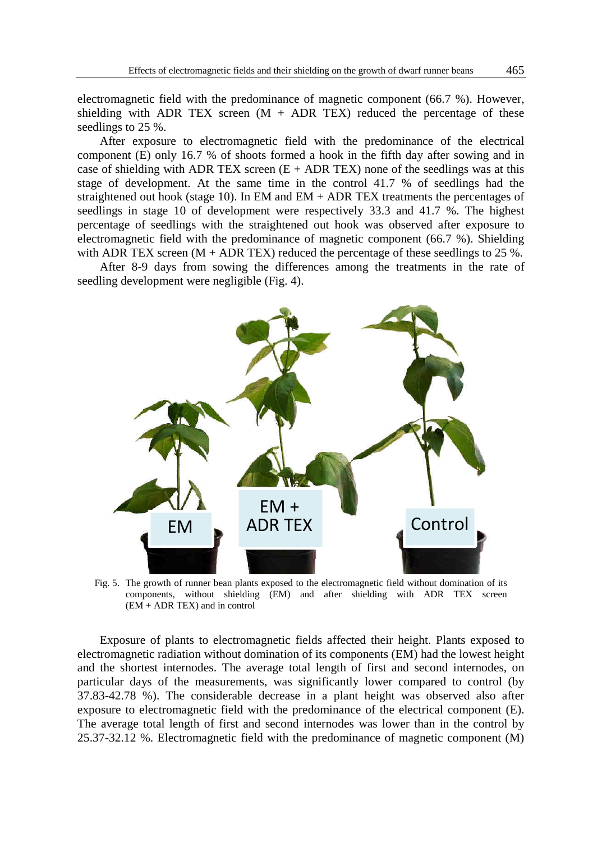electromagnetic field with the predominance of magnetic component (66.7 %). However, shielding with ADR TEX screen  $(M + ADR$  TEX) reduced the percentage of these seedlings to 25 %.

After exposure to electromagnetic field with the predominance of the electrical component (E) only 16.7 % of shoots formed a hook in the fifth day after sowing and in case of shielding with ADR TEX screen  $(E + ADR$  TEX) none of the seedlings was at this stage of development. At the same time in the control 41.7 % of seedlings had the straightened out hook (stage 10). In EM and EM + ADR TEX treatments the percentages of seedlings in stage 10 of development were respectively 33.3 and 41.7 %. The highest percentage of seedlings with the straightened out hook was observed after exposure to electromagnetic field with the predominance of magnetic component (66.7 %). Shielding with ADR TEX screen  $(M + ADR$  TEX) reduced the percentage of these seedlings to 25 %.

After 8-9 days from sowing the differences among the treatments in the rate of seedling development were negligible (Fig. 4).



Fig. 5. The growth of runner bean plants exposed to the electromagnetic field without domination of its components, without shielding (EM) and after shielding with ADR TEX screen (EM + ADR TEX) and in control

Exposure of plants to electromagnetic fields affected their height. Plants exposed to electromagnetic radiation without domination of its components (EM) had the lowest height and the shortest internodes. The average total length of first and second internodes, on particular days of the measurements, was significantly lower compared to control (by 37.83-42.78 %). The considerable decrease in a plant height was observed also after exposure to electromagnetic field with the predominance of the electrical component (E). The average total length of first and second internodes was lower than in the control by 25.37-32.12 %. Electromagnetic field with the predominance of magnetic component (M)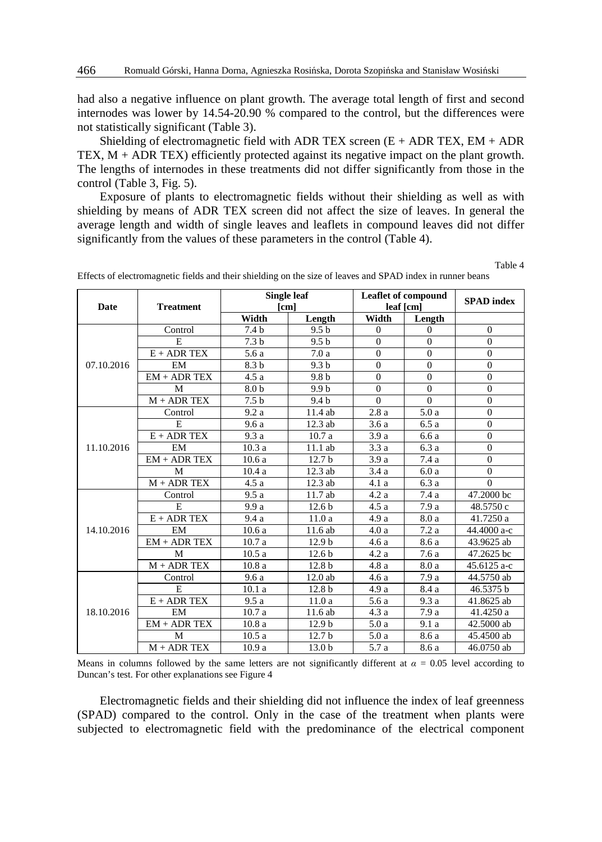had also a negative influence on plant growth. The average total length of first and second internodes was lower by 14.54-20.90 % compared to the control, but the differences were not statistically significant (Table 3).

Shielding of electromagnetic field with ADR TEX screen  $(E + ADR$  TEX, EM  $+ ADR$ TEX,  $M$  + ADR TEX) efficiently protected against its negative impact on the plant growth. The lengths of internodes in these treatments did not differ significantly from those in the control (Table 3, Fig. 5).

Exposure of plants to electromagnetic fields without their shielding as well as with shielding by means of ADR TEX screen did not affect the size of leaves. In general the average length and width of single leaves and leaflets in compound leaves did not differ significantly from the values of these parameters in the control (Table 4).

**Date Treatment Single leaf [cm] Leaflet of compound leaf [cm] SPAD index Width Length Width Length Width Length**  07.10.2016 Control | 7.4 b  $9.5 b$  | 0 | 0 | 0 E | 7.3 b | 9.5 b | 0 | 0 | 0  $E + ADR$  TEX 5.6 a 7.0 a 0 0 0 0 EM | 8.3 b 9.3 b 0 0 0 0  $EM + ADR$  TEX 4.5 a 9.8 b 0 0 0 0 M | 8.0 b | 9.9 b | 0 | 0 | 0  $M + ADR$  TEX 7.5 b 9.4 b 0 0 0 0 11.10.2016 Control | 9.2 a 11.4 ab 2.8 a 5.0 a 0 E 9.6 a 12.3 ab 3.6 a 6.5 a 0 E + ADR TEX 9.3 a 10.7 a 3.9 a 6.6 a 0 EM 10.3 a 11.1 ab 3.3 a 6.3 a 0 EM + ADR TEX | 10.6 a | 12.7 b | 3.9 a | 7.4 a | 0 M | 10.4 a | 12.3 ab | 3.4 a | 6.0 a | 0  $M + ADR$  TEX  $\begin{vmatrix} 4.5 a & 12.3 ab & 4.1 a & 6.3 a \end{vmatrix}$  0 14.10.2016 Control 9.5 a 11.7 ab 4.2 a 7.4 a 47.2000 bc E 9.9 a 12.6 b 4.5 a 7.9 a 48.5750 c E + ADR TEX | 9.4 a | 11.0 a | 4.9 a | 8.0 a | 41.7250 a EM 10.6 a 11.6 ab 4.0 a 7.2 a 44.4000 a-c EM + ADR TEX 10.7 a 12.9 b 4.6 a 8.6 a 43.9625 ab M 10.5 a 12.6 b 4.2 a 7.6 a 47.2625 bc M + ADR TEX 10.8 a 12.8 b 4.8 a 8.0 a 45.6125 a-c 18.10.2016 Control 9.6 a 12.0 ab 4.6 a 7.9 a 44.5750 ab E 10.1 a 12.8 b 4.9 a 8.4 a 46.5375 b E + ADR TEX 9.5 a 11.0 a 5.6 a 9.3 a 41.8625 ab EM 10.7 a 11.6 ab 4.3 a 7.9 a 41.4250 a EM + ADR TEX 10.8 a 12.9 b 5.0 a 9.1 a 42.5000 ab M 10.5 a 12.7 b 5.0 a 8.6 a 45.4500 ab M + ADR TEX | 10.9 a | 13.0 b | 5.7 a | 8.6 a | 46.0750 ab

Effects of electromagnetic fields and their shielding on the size of leaves and SPAD index in runner beans

Table 4

Means in columns followed by the same letters are not significantly different at  $\alpha = 0.05$  level according to Duncan's test. For other explanations see Figure 4

Electromagnetic fields and their shielding did not influence the index of leaf greenness (SPAD) compared to the control. Only in the case of the treatment when plants were subjected to electromagnetic field with the predominance of the electrical component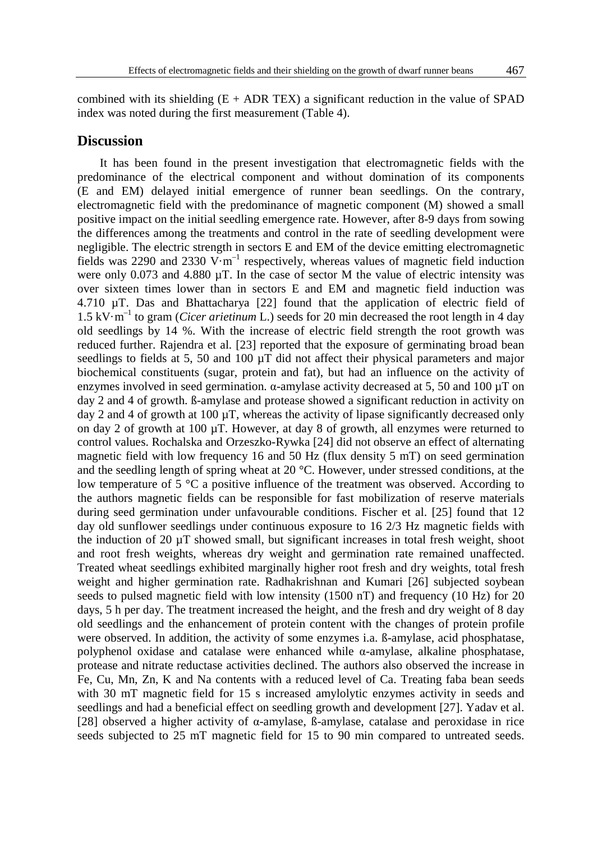combined with its shielding  $(E + ADR$  TEX) a significant reduction in the value of SPAD index was noted during the first measurement (Table 4).

#### **Discussion**

It has been found in the present investigation that electromagnetic fields with the predominance of the electrical component and without domination of its components (E and EM) delayed initial emergence of runner bean seedlings. On the contrary, electromagnetic field with the predominance of magnetic component (M) showed a small positive impact on the initial seedling emergence rate. However, after 8-9 days from sowing the differences among the treatments and control in the rate of seedling development were negligible. The electric strength in sectors E and EM of the device emitting electromagnetic fields was 2290 and 2330  $V \cdot m^{-1}$  respectively, whereas values of magnetic field induction were only 0.073 and 4.880  $\mu$ T. In the case of sector M the value of electric intensity was over sixteen times lower than in sectors E and EM and magnetic field induction was 4.710 µT. Das and Bhattacharya [22] found that the application of electric field of 1.5 kV·m–1 to gram (*Cicer arietinum* L.) seeds for 20 min decreased the root length in 4 day old seedlings by 14 %. With the increase of electric field strength the root growth was reduced further. Rajendra et al. [23] reported that the exposure of germinating broad bean seedlings to fields at 5, 50 and 100  $\mu$ T did not affect their physical parameters and major biochemical constituents (sugar, protein and fat), but had an influence on the activity of enzymes involved in seed germination.  $\alpha$ -amylase activity decreased at 5, 50 and 100  $\mu$ T on day 2 and 4 of growth. ß-amylase and protease showed a significant reduction in activity on day 2 and 4 of growth at 100  $\mu$ T, whereas the activity of lipase significantly decreased only on day 2 of growth at 100  $\mu$ T. However, at day 8 of growth, all enzymes were returned to control values. Rochalska and Orzeszko-Rywka [24] did not observe an effect of alternating magnetic field with low frequency 16 and 50 Hz (flux density 5 mT) on seed germination and the seedling length of spring wheat at 20 °C. However, under stressed conditions, at the low temperature of 5 °C a positive influence of the treatment was observed. According to the authors magnetic fields can be responsible for fast mobilization of reserve materials during seed germination under unfavourable conditions. Fischer et al. [25] found that 12 day old sunflower seedlings under continuous exposure to 16 2/3 Hz magnetic fields with the induction of 20  $\mu$ T showed small, but significant increases in total fresh weight, shoot and root fresh weights, whereas dry weight and germination rate remained unaffected. Treated wheat seedlings exhibited marginally higher root fresh and dry weights, total fresh weight and higher germination rate. Radhakrishnan and Kumari [26] subjected soybean seeds to pulsed magnetic field with low intensity (1500 nT) and frequency (10 Hz) for 20 days, 5 h per day. The treatment increased the height, and the fresh and dry weight of 8 day old seedlings and the enhancement of protein content with the changes of protein profile were observed. In addition, the activity of some enzymes i.a. ß-amylase, acid phosphatase, polyphenol oxidase and catalase were enhanced while α-amylase, alkaline phosphatase, protease and nitrate reductase activities declined. The authors also observed the increase in Fe, Cu, Mn, Zn, K and Na contents with a reduced level of Ca. Treating faba bean seeds with 30 mT magnetic field for 15 s increased amylolytic enzymes activity in seeds and seedlings and had a beneficial effect on seedling growth and development [27]. Yadav et al. [28] observed a higher activity of α-amylase, ß-amylase, catalase and peroxidase in rice seeds subjected to 25 mT magnetic field for 15 to 90 min compared to untreated seeds.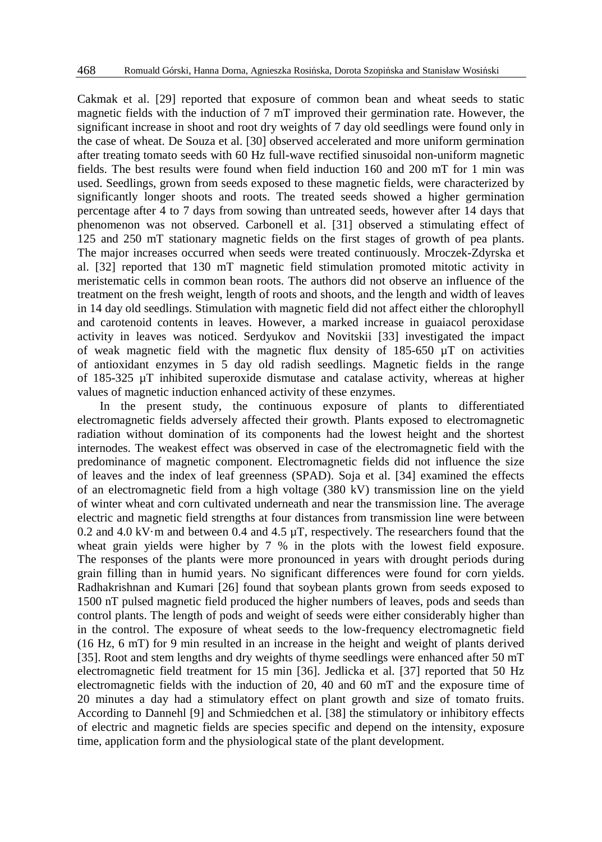Cakmak et al. [29] reported that exposure of common bean and wheat seeds to static magnetic fields with the induction of 7 mT improved their germination rate. However, the significant increase in shoot and root dry weights of 7 day old seedlings were found only in the case of wheat. De Souza et al. [30] observed accelerated and more uniform germination after treating tomato seeds with 60 Hz full-wave rectified sinusoidal non-uniform magnetic fields. The best results were found when field induction 160 and 200 mT for 1 min was used. Seedlings, grown from seeds exposed to these magnetic fields, were characterized by significantly longer shoots and roots. The treated seeds showed a higher germination percentage after 4 to 7 days from sowing than untreated seeds, however after 14 days that phenomenon was not observed. Carbonell et al. [31] observed a stimulating effect of 125 and 250 mT stationary magnetic fields on the first stages of growth of pea plants. The major increases occurred when seeds were treated continuously. Mroczek-Zdyrska et al. [32] reported that 130 mT magnetic field stimulation promoted mitotic activity in meristematic cells in common bean roots. The authors did not observe an influence of the treatment on the fresh weight, length of roots and shoots, and the length and width of leaves in 14 day old seedlings. Stimulation with magnetic field did not affect either the chlorophyll and carotenoid contents in leaves. However, a marked increase in guaiacol peroxidase activity in leaves was noticed. Serdyukov and Novitskii [33] investigated the impact of weak magnetic field with the magnetic flux density of  $185-650 \mu T$  on activities of antioxidant enzymes in 5 day old radish seedlings. Magnetic fields in the range of 185-325 µT inhibited superoxide dismutase and catalase activity, whereas at higher values of magnetic induction enhanced activity of these enzymes.

In the present study, the continuous exposure of plants to differentiated electromagnetic fields adversely affected their growth. Plants exposed to electromagnetic radiation without domination of its components had the lowest height and the shortest internodes. The weakest effect was observed in case of the electromagnetic field with the predominance of magnetic component. Electromagnetic fields did not influence the size of leaves and the index of leaf greenness (SPAD). Soja et al. [34] examined the effects of an electromagnetic field from a high voltage (380 kV) transmission line on the yield of winter wheat and corn cultivated underneath and near the transmission line. The average electric and magnetic field strengths at four distances from transmission line were between 0.2 and 4.0 kV·m and between 0.4 and 4.5  $\mu$ T, respectively. The researchers found that the wheat grain yields were higher by 7 % in the plots with the lowest field exposure. The responses of the plants were more pronounced in years with drought periods during grain filling than in humid years. No significant differences were found for corn yields. Radhakrishnan and Kumari [26] found that soybean plants grown from seeds exposed to 1500 nT pulsed magnetic field produced the higher numbers of leaves, pods and seeds than control plants. The length of pods and weight of seeds were either considerably higher than in the control. The exposure of wheat seeds to the low-frequency electromagnetic field (16 Hz, 6 mT) for 9 min resulted in an increase in the height and weight of plants derived [35]. Root and stem lengths and dry weights of thyme seedlings were enhanced after 50 mT electromagnetic field treatment for 15 min [36]. Jedlicka et al. [37] reported that 50 Hz electromagnetic fields with the induction of 20, 40 and 60 mT and the exposure time of 20 minutes a day had a stimulatory effect on plant growth and size of tomato fruits. According to Dannehl [9] and Schmiedchen et al. [38] the stimulatory or inhibitory effects of electric and magnetic fields are species specific and depend on the intensity, exposure time, application form and the physiological state of the plant development.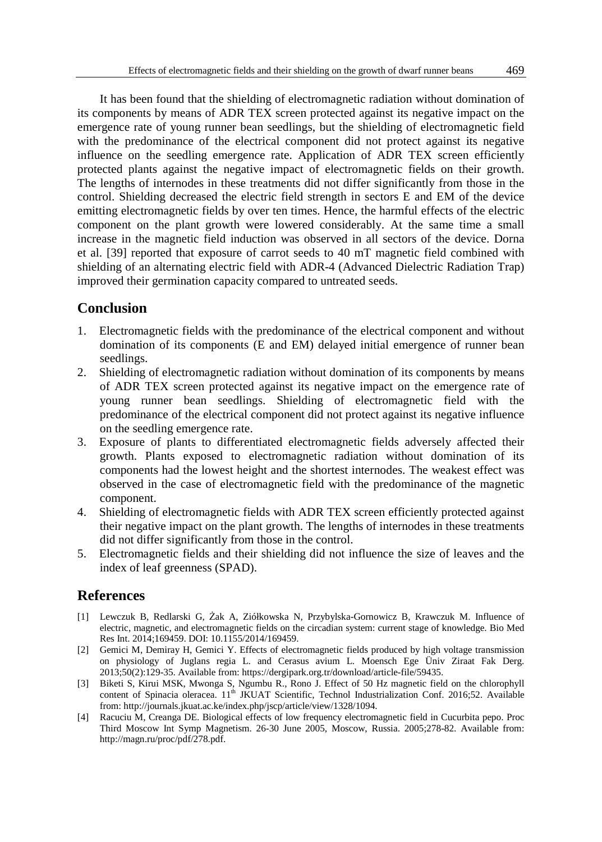It has been found that the shielding of electromagnetic radiation without domination of its components by means of ADR TEX screen protected against its negative impact on the emergence rate of young runner bean seedlings, but the shielding of electromagnetic field with the predominance of the electrical component did not protect against its negative influence on the seedling emergence rate. Application of ADR TEX screen efficiently protected plants against the negative impact of electromagnetic fields on their growth. The lengths of internodes in these treatments did not differ significantly from those in the control. Shielding decreased the electric field strength in sectors E and EM of the device emitting electromagnetic fields by over ten times. Hence, the harmful effects of the electric component on the plant growth were lowered considerably. At the same time a small increase in the magnetic field induction was observed in all sectors of the device. Dorna et al. [39] reported that exposure of carrot seeds to 40 mT magnetic field combined with shielding of an alternating electric field with ADR-4 (Advanced Dielectric Radiation Trap) improved their germination capacity compared to untreated seeds.

#### **Conclusion**

- 1. Electromagnetic fields with the predominance of the electrical component and without domination of its components (E and EM) delayed initial emergence of runner bean seedlings.
- 2. Shielding of electromagnetic radiation without domination of its components by means of ADR TEX screen protected against its negative impact on the emergence rate of young runner bean seedlings. Shielding of electromagnetic field with the predominance of the electrical component did not protect against its negative influence on the seedling emergence rate.
- 3. Exposure of plants to differentiated electromagnetic fields adversely affected their growth. Plants exposed to electromagnetic radiation without domination of its components had the lowest height and the shortest internodes. The weakest effect was observed in the case of electromagnetic field with the predominance of the magnetic component.
- 4. Shielding of electromagnetic fields with ADR TEX screen efficiently protected against their negative impact on the plant growth. The lengths of internodes in these treatments did not differ significantly from those in the control.
- 5. Electromagnetic fields and their shielding did not influence the size of leaves and the index of leaf greenness (SPAD).

### **References**

- [1] Lewczuk B, Redlarski G, Żak A, Ziółkowska N, Przybylska-Gornowicz B, Krawczuk M. Influence of electric, magnetic, and electromagnetic fields on the circadian system: current stage of knowledge. Bio Med Res Int. 2014;169459. DOI: 10.1155/2014/169459.
- [2] Gemici M, Demiray H, Gemici Y. Effects of electromagnetic fields produced by high voltage transmission on physiology of Juglans regia L. and Cerasus avium L. Moensch Ege Üniv Ziraat Fak Derg. 2013;50(2):129-35. Available from: https://dergipark.org.tr/download/article-file/59435.
- [3] Biketi S, Kirui MSK, Mwonga S, Ngumbu R., Rono J. Effect of 50 Hz magnetic field on the chlorophyll content of Spinacia oleracea. 11<sup>th</sup> JKUAT Scientific, Technol Industrialization Conf. 2016;52. Available from: http://journals.jkuat.ac.ke/index.php/jscp/article/view/1328/1094.
- [4] Racuciu M, Creanga DE. Biological effects of low frequency electromagnetic field in Cucurbita pepo. Proc Third Moscow Int Symp Magnetism. 26-30 June 2005, Moscow, Russia. 2005;278-82. Available from: http://magn.ru/proc/pdf/278.pdf.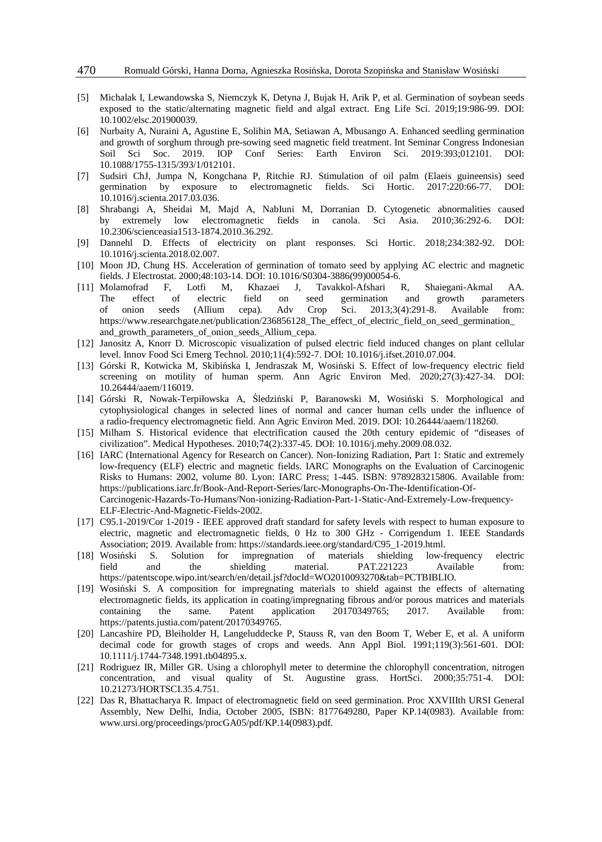- [5] Michalak I, Lewandowska S, Niemczyk K, Detyna J, Bujak H, Arik P, et al. Germination of soybean seeds exposed to the static/alternating magnetic field and algal extract. Eng Life Sci. 2019;19:986-99. DOI: 10.1002/elsc.201900039.
- [6] Nurbaity A, Nuraini A, Agustine E, Solihin MA, Setiawan A, Mbusango A. Enhanced seedling germination and growth of sorghum through pre-sowing seed magnetic field treatment. Int Seminar Congress Indonesian Soil Sci Soc. 2019. IOP Conf Series: Earth Environ Sci. 2019:393;012101. DOI: 10.1088/1755-1315/393/1/012101.
- [7] Sudsiri ChJ, Jumpa N, Kongchana P, Ritchie RJ. Stimulation of oil palm (Elaeis guineensis) seed germination by exposure to electromagnetic fields. Sci Hortic. 2017:220:66-77. DOI: 10.1016/j.scienta.2017.03.036.
- [8] Shrabangi A, Sheidai M, Majd A, NabIuni M, Dorranian D. Cytogenetic abnormalities caused by extremely low electromagnetic fields in canola. Sci Asia. 2010;36:292-6. DOI: 10.2306/scienceasia1513-1874.2010.36.292.
- [9] Dannehl D. Effects of electricity on plant responses. Sci Hortic. 2018;234:382-92. DOI: 10.1016/j.scienta.2018.02.007.
- [10] Moon JD, Chung HS. Acceleration of germination of tomato seed by applying AC electric and magnetic fields. J Electrostat. 2000;48:103-14. DOI: 10.1016/S0304-3886(99)00054-6.
- [11] Molamofrad F, Lotfi M, Khazaei J, Tavakkol-Afshari R, Shaiegani-Akmal AA. The effect of electric field on seed germination and growth parameters of onion seeds (Allium cepa). Adv Crop Sci. 2013;3(4):291-8. Available from: of onion seeds (Allium cepa). Adv Crop Sci. 2013;3(4):291-8. Available from: https://www.researchgate.net/publication/236856128\_The\_effect\_of\_electric\_field\_on\_seed\_germination\_ and\_growth\_parameters\_of\_onion\_seeds\_Allium\_cepa.
- [12] Janositz A, Knorr D. Microscopic visualization of pulsed electric field induced changes on plant cellular level. Innov Food Sci Emerg Technol. 2010;11(4):592-7. DOI: 10.1016/j.ifset.2010.07.004.
- [13] Górski R, Kotwicka M, Skibińska I, Jendraszak M, Wosiński S. Effect of low-frequency electric field screening on motility of human sperm. Ann Agric Environ Med. 2020;27(3):427-34. DOI: 10.26444/aaem/116019.
- [14] Górski R, Nowak-Terpiłowska A, Śledziński P, Baranowski M, Wosiński S. Morphological and cytophysiological changes in selected lines of normal and cancer human cells under the influence of a radio-frequency electromagnetic field. Ann Agric Environ Med. 2019. DOI: 10.26444/aaem/118260.
- [15] Milham S. Historical evidence that electrification caused the 20th century epidemic of "diseases of civilization". Medical Hypotheses. 2010;74(2):337-45. DOI: 10.1016/j.mehy.2009.08.032.
- [16] IARC (International Agency for Research on Cancer). Non-Ionizing Radiation, Part 1: Static and extremely low-frequency (ELF) electric and magnetic fields. IARC Monographs on the Evaluation of Carcinogenic Risks to Humans: 2002, volume 80. Lyon: IARC Press; 1-445. ISBN: 9789283215806. Available from: https://publications.iarc.fr/Book-And-Report-Series/Iarc-Monographs-On-The-Identification-Of-Carcinogenic-Hazards-To-Humans/Non-ionizing-Radiation-Part-1-Static-And-Extremely-Low-frequency-ELF-Electric-And-Magnetic-Fields-2002.
- [17] C95.1-2019/Cor 1-2019 IEEE approved draft standard for safety levels with respect to human exposure to electric, magnetic and electromagnetic fields, 0 Hz to 300 GHz - Corrigendum 1. IEEE Standards Association; 2019. Available from: https://standards.ieee.org/standard/C95\_1-2019.html.
- [18] Wosiński S. Solution for impregnation of materials shielding low-frequency electric field and the shielding material. PAT.221223 Available from: https://patentscope.wipo.int/search/en/detail.jsf?docId=WO2010093270&tab=PCTBIBLIO.
- [19] Wosiński S. A composition for impregnating materials to shield against the effects of alternating electromagnetic fields, its application in coating/impregnating fibrous and/or porous matrices and materials containing the same. Patent application 20170349765; 2017. Available from: https://patents.justia.com/patent/20170349765.
- [20] Lancashire PD, Bleiholder H, Langeluddecke P, Stauss R, van den Boom T, Weber E, et al. A uniform decimal code for growth stages of crops and weeds. Ann Appl Biol. 1991;119(3):561-601. DOI: 10.1111/j.1744-7348.1991.tb04895.x.
- [21] Rodriguez IR, Miller GR. Using a chlorophyll meter to determine the chlorophyll concentration, nitrogen concentration, and visual quality of St. Augustine grass. HortSci. 2000;35:751-4. DOI: 10.21273/HORTSCI.35.4.751.
- [22] Das R, Bhattacharya R. Impact of electromagnetic field on seed germination. Proc XXVIIIth URSI General Assembly, New Delhi, India, October 2005, ISBN: 8177649280, Paper KP.14(0983). Available from: www.ursi.org/proceedings/procGA05/pdf/KP.14(0983).pdf.